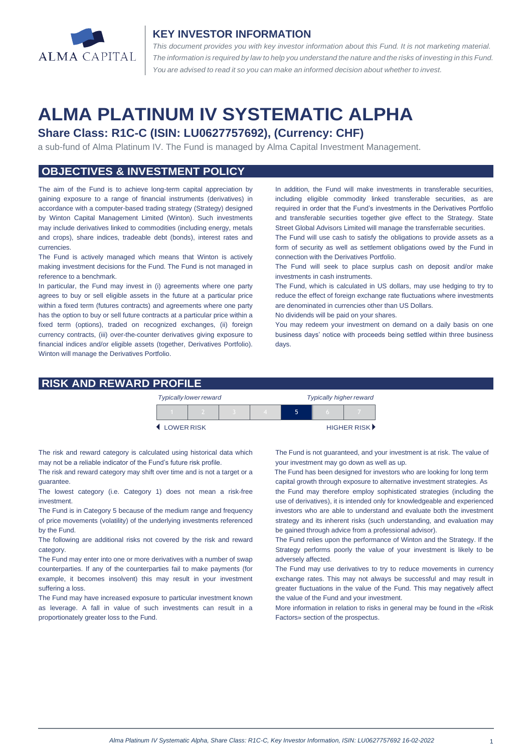

#### **KEY INVESTOR INFORMATION**

*This document provides you with key investor information about this Fund. It is not marketing material.*  The information is required by law to help you understand the nature and the risks of investing in this Fund. *You are advised to read it so you can make an informed decision about whether to invest.*

# **ALMA PLATINUM IV SYSTEMATIC ALPHA**

## **Share Class: R1C-C (ISIN: LU0627757692), (Currency: CHF)**

a sub-fund of Alma Platinum IV. The Fund is managed by Alma Capital Investment Management.

## **OBJECTIVES & INVESTMENT POLICY**

The aim of the Fund is to achieve long-term capital appreciation by gaining exposure to a range of financial instruments (derivatives) in accordance with a computer-based trading strategy (Strategy) designed by Winton Capital Management Limited (Winton). Such investments may include derivatives linked to commodities (including energy, metals and crops), share indices, tradeable debt (bonds), interest rates and currencies.

The Fund is actively managed which means that Winton is actively making investment decisions for the Fund. The Fund is not managed in reference to a benchmark.

In particular, the Fund may invest in (i) agreements where one party agrees to buy or sell eligible assets in the future at a particular price within a fixed term (futures contracts) and agreements where one party has the option to buy or sell future contracts at a particular price within a fixed term (options), traded on recognized exchanges, (ii) foreign currency contracts, (iii) over-the-counter derivatives giving exposure to financial indices and/or eligible assets (together, Derivatives Portfolio). Winton will manage the Derivatives Portfolio.

In addition, the Fund will make investments in transferable securities, including eligible commodity linked transferable securities, as are required in order that the Fund's investments in the Derivatives Portfolio and transferable securities together give effect to the Strategy. State Street Global Advisors Limited will manage the transferrable securities.

The Fund will use cash to satisfy the obligations to provide assets as a form of security as well as settlement obligations owed by the Fund in connection with the Derivatives Portfolio.

The Fund will seek to place surplus cash on deposit and/or make investments in cash instruments.

The Fund, which is calculated in US dollars, may use hedging to try to reduce the effect of foreign exchange rate fluctuations where investments are denominated in currencies other than US Dollars.

No dividends will be paid on your shares.

You may redeem your investment on demand on a daily basis on one business days' notice with proceeds being settled within three business days

### **RISK AND REWARD PROFILE**

|            | <b>Typically lower reward</b> |  | <b>Typically higher reward</b> |  |  |                             |
|------------|-------------------------------|--|--------------------------------|--|--|-----------------------------|
|            |                               |  |                                |  |  |                             |
| LOWER RISK |                               |  |                                |  |  | HIGHER RISK <sup>&gt;</sup> |

The risk and reward category is calculated using historical data which may not be a reliable indicator of the Fund's future risk profile.

The risk and reward category may shift over time and is not a target or a guarantee.

The lowest category (i.e. Category 1) does not mean a risk-free investment.

The Fund is in Category 5 because of the medium range and frequency of price movements (volatility) of the underlying investments referenced by the Fund.

The following are additional risks not covered by the risk and reward category.

The Fund may enter into one or more derivatives with a number of swap counterparties. If any of the counterparties fail to make payments (for example, it becomes insolvent) this may result in your investment suffering a loss.

The Fund may have increased exposure to particular investment known as leverage. A fall in value of such investments can result in a proportionately greater loss to the Fund.

The Fund is not guaranteed, and your investment is at risk. The value of your investment may go down as well as up.

 The Fund has been designed for investors who are looking for long term capital growth through exposure to alternative investment strategies. As

the Fund may therefore employ sophisticated strategies (including the use of derivatives), it is intended only for knowledgeable and experienced investors who are able to understand and evaluate both the investment strategy and its inherent risks (such understanding, and evaluation may be gained through advice from a professional advisor).

The Fund relies upon the performance of Winton and the Strategy. If the Strategy performs poorly the value of your investment is likely to be adversely affected.

The Fund may use derivatives to try to reduce movements in currency exchange rates. This may not always be successful and may result in greater fluctuations in the value of the Fund. This may negatively affect the value of the Fund and your investment.

More information in relation to risks in general may be found in the «Risk Factors» section of the prospectus.